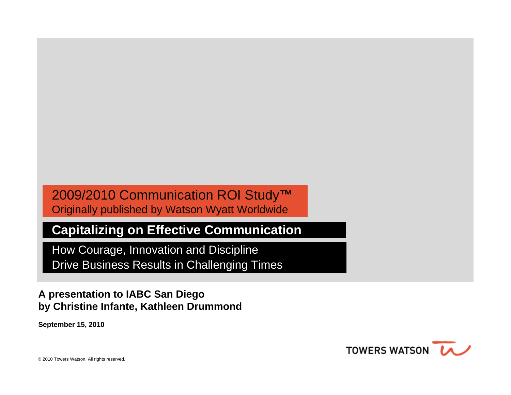#### 2009/2010 Communication ROI Study**™**  Originally published by Watson Wyatt Worldwide

#### **Capitalizing on Effective Communication**

How Courage, Innovation and Discipline Drive Business Results in Challenging Times

#### **A presentation to IABC San Diego by Christine Infante, Kathleen Drummond**

**September 15, 2010**

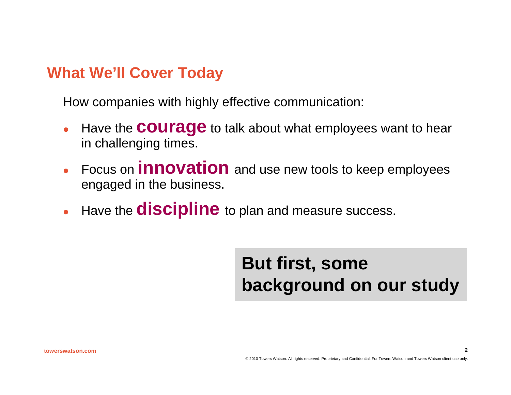#### **What We'll Cover Today**

How companies with highly effective communication:

- $\bullet$  Have the **courage** to talk about what employees want to hear in challenging times.
- **Focus on <b>innovation** and use new tools to keep employees engaged in the business.
- $\bullet$ Have the **discipline** to plan and measure success.

# **But first, some background on our study**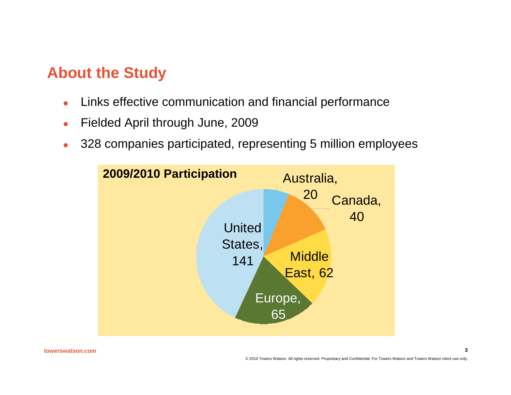## **About the Study**

- $\bullet$ Links effective communication and financial performance
- **a** Fielded April through June, 2009
- $\bullet$ 328 companies participated, representing 5 million employees

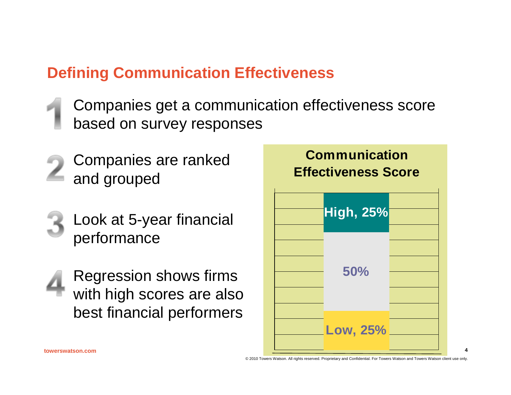## **Defining Communication Effectiveness**

- Companies get a communication effectiveness score based on survey responses
- Companies are ranked and grouped
	- Look at 5-year financial performance
- Regression shows firms with high scores are also best financial performers

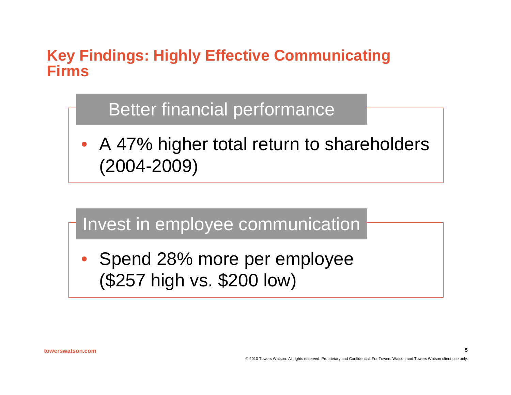#### **Key Findings: Highly Effective Communicating Firms**

# Better financial performance

• A 47% higher total return to shareholders (2004-2009)



(\$257 high vs. \$200 low)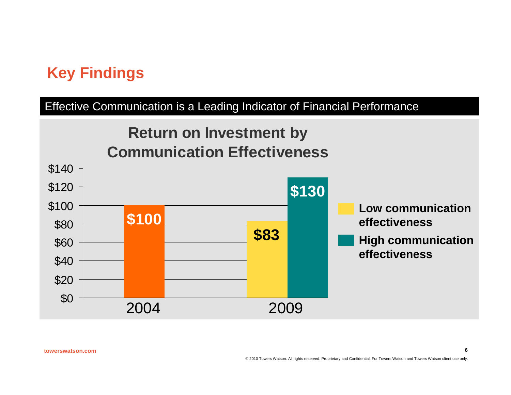# **Key Findings**

#### Effective Communication is a Leading Indicator of Financial Performance

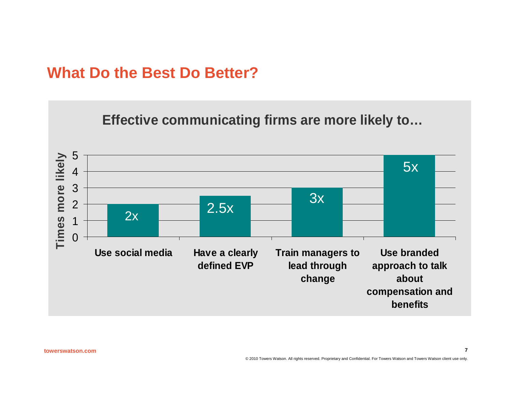#### **What Do the Best Do Better?**

#### **Effective communicating firms are more likely to…**

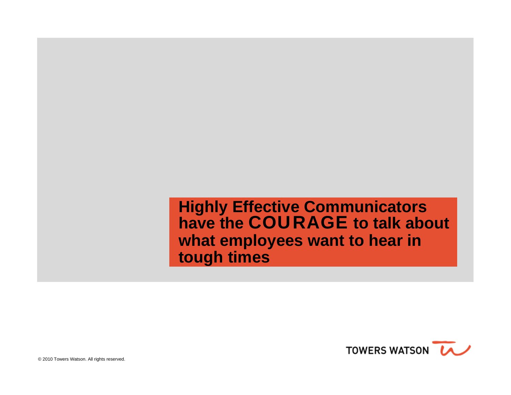**Highly Effective Communicators have the** COURAGE **to talk about what employees want to hear in tough times**

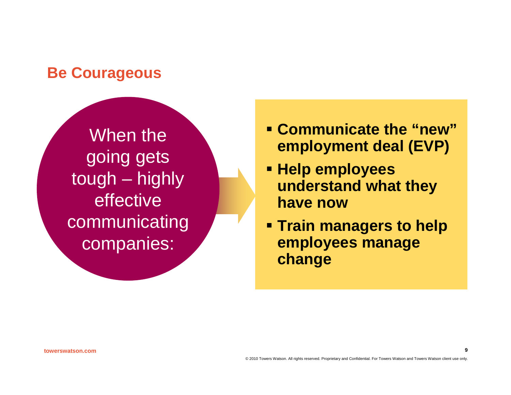#### **Be Courageous**

When the going gets tough – highly **effective** communicating companies:

- **Communicate the "new"employment deal (EVP)**
- **Help employees understand what they have now**
- **Train managers to help employees manage change**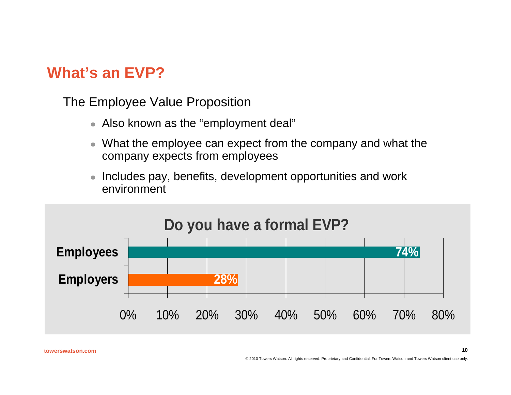# **What's an EVP?**

The Employee Value Proposition

- $\bullet$  Also known as the "employment deal"
- $\bullet\,$  What the employee can expect from the company and what the company expects from employees
- $\bullet$  Includes pay, benefits, development opportunities and work environment

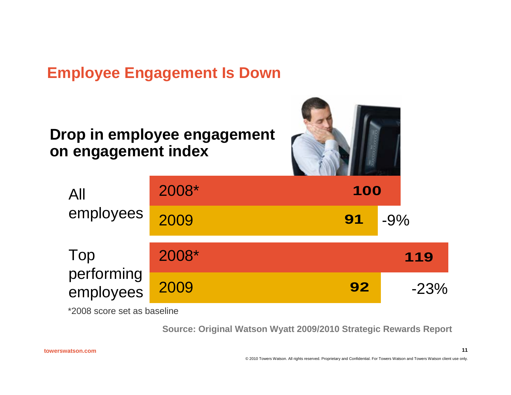### **Employee Engagement Is Down**

#### **Drop in employee engagement on engagement index**



| All                     | 2008* | 100 |         |
|-------------------------|-------|-----|---------|
| employees               | 2009  | 91  | $-9%$   |
| Top                     | 2008* |     | 119     |
| performing<br>employees | 2009  | 92  | $-23\%$ |

\*2008 score set as baseline

**Source: Original Watson Wyatt 2009/2010 Strategic Rewards Report**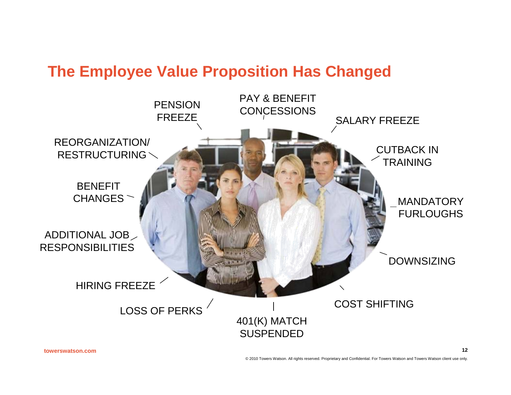#### **The Employee Value Proposition Has Changed**

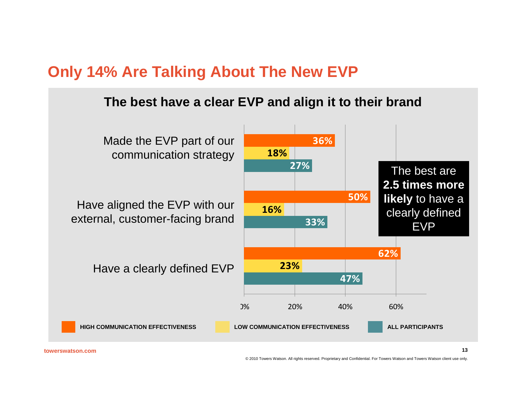## **Only 14% Are Talking About The New EVP**

#### **The best have a clear EVP and align it to their brand**

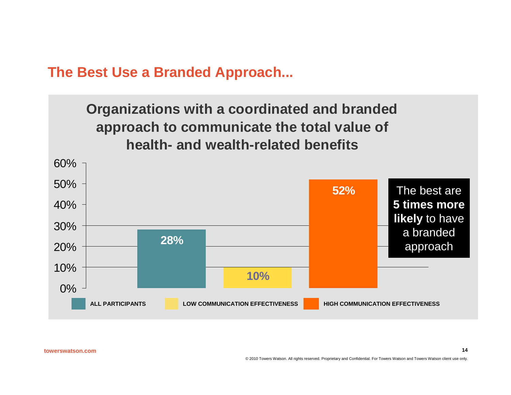**The Best Use a Branded Approach...**

#### **Organizations with a coordinated and branded approach to communicate the total value of health- and wealth-related benefits**

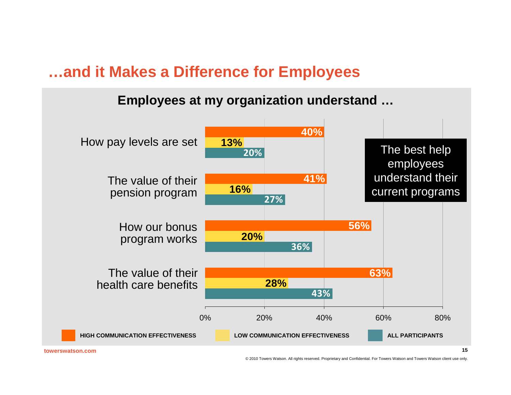#### **…and it Makes a Difference for Employees**

#### **Employees at my organization understand …**



**towerswatson.com**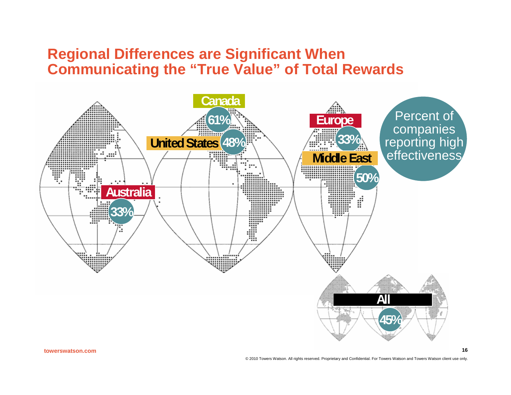#### **Regional Differences are Significant When Communicating the "True Value" of Total Rewards**

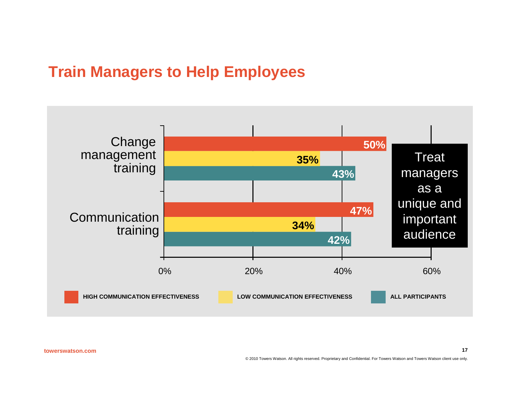## **Train Managers to Help Employees**

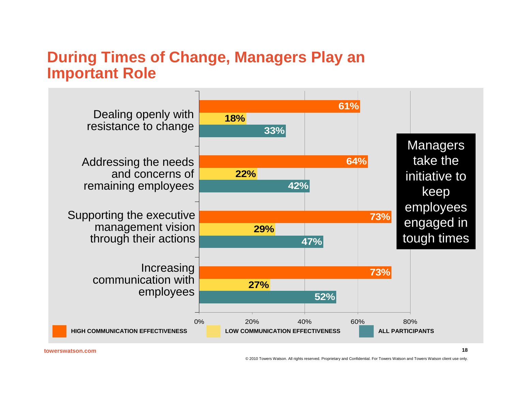#### **During Times of Change, Managers Play an Important Role**

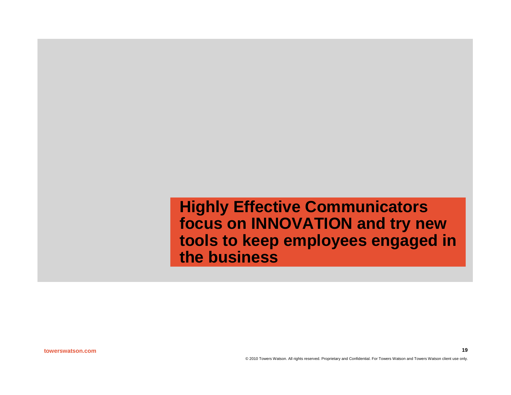**Highly Effective Communicators focus on INNOVATION and try new tools to keep employees engaged in the business**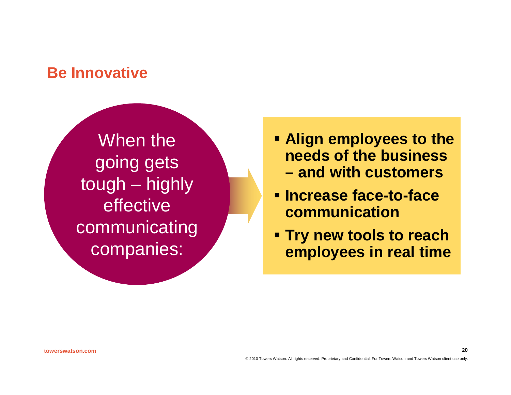#### **Be Innovative**

When the going gets tough – highly effective communicating companies:

- **Align employees to the needs of the business – and with customers**
- **Increase face-to-face communication**
- **Try new tools to reach employees in real time**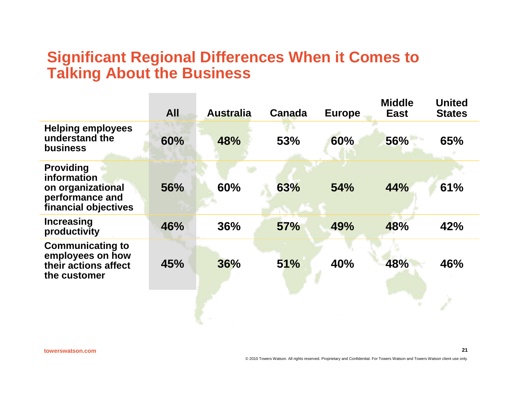#### **Significant Regional Differences When it Comes to Talking About the Business**

|                                                                                                        | <b>All</b> | <b>Australia</b> | <b>Canada</b> | <b>Europe</b> | <b>Middle</b><br><b>East</b> | <b>United</b><br><b>States</b> |
|--------------------------------------------------------------------------------------------------------|------------|------------------|---------------|---------------|------------------------------|--------------------------------|
| <b>Helping employees</b><br>understand the<br><b>business</b>                                          | 60%        | 48%              | 53%           | 60%           | 56%                          | 65%                            |
| <b>Providing</b><br><b>information</b><br>on organizational<br>performance and<br>financial objectives | 56%        | 60%              | 63%           | 54%           | 44%                          | 61%                            |
| <b>Increasing</b><br>productivity                                                                      | 46%        | 36%              | <b>57%</b>    | 49%           | 48%                          | 42%                            |
| <b>Communicating to</b><br>employees on how<br>their actions affect<br>the customer                    | 45%        | 36%              | 51%           | 40%           | 48%                          | 46%                            |
|                                                                                                        |            |                  |               |               |                              |                                |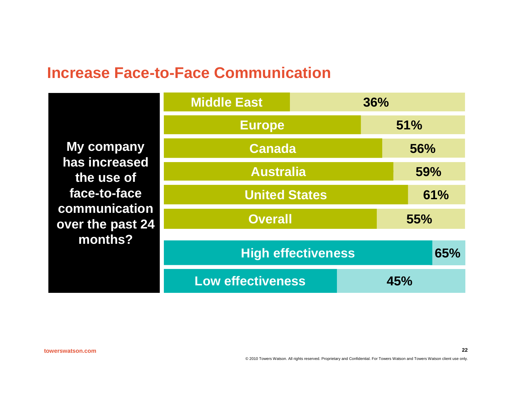#### **Increase Face-to-Face Communication**

**My company has increased the use of face-to-face communication over the past 24 months?**

| <b>Middle East</b>        |                | 36% |     |  |  |
|---------------------------|----------------|-----|-----|--|--|
| <b>Europe</b>             |                |     | 51% |  |  |
| <b>Canada</b>             |                |     | 56% |  |  |
| <b>Australia</b>          |                |     | 59% |  |  |
| <b>United States</b>      |                |     | 61% |  |  |
|                           | <b>Overall</b> |     | 55% |  |  |
| <b>High effectiveness</b> |                |     | 65% |  |  |
| <b>Low effectiveness</b>  |                | 45% |     |  |  |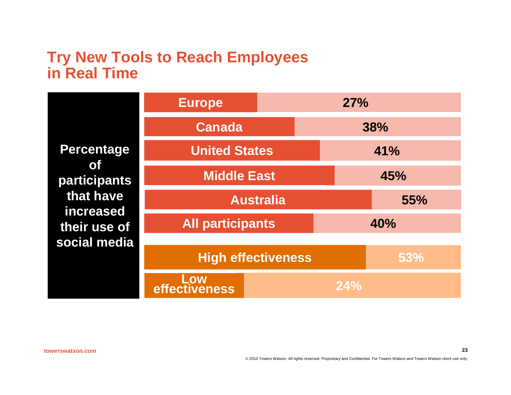#### **Try New Tools to Reach Employees in Real Time**

|                                                                                                          | <b>Europe</b>             |  | 27% |            |  |
|----------------------------------------------------------------------------------------------------------|---------------------------|--|-----|------------|--|
| Percentage<br><b>of</b><br><b>participants</b><br>that have<br>increased<br>their use of<br>social media | <b>Canada</b>             |  |     | 38%        |  |
|                                                                                                          | <b>United States</b>      |  | 41% |            |  |
|                                                                                                          | <b>Middle East</b>        |  |     | 45%        |  |
|                                                                                                          | <b>Australia</b>          |  |     | <b>55%</b> |  |
|                                                                                                          | <b>All participants</b>   |  | 40% |            |  |
|                                                                                                          | <b>High effectiveness</b> |  |     | 53%        |  |
|                                                                                                          | Low<br>effectiveness      |  | 24% |            |  |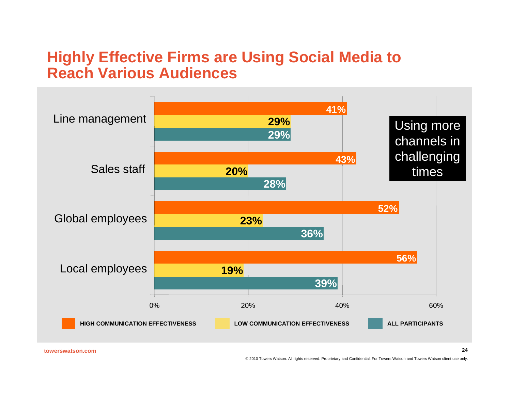#### **Highly Effective Firms are Using Social Media to Reach Various Audiences**

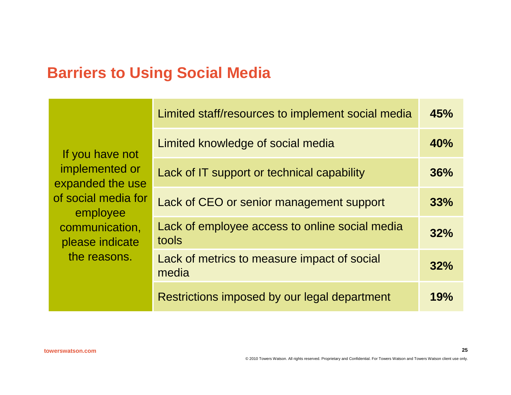## **Barriers to Using Social Media**

|                                    | Limited staff/resources to implement social media       | 45% |
|------------------------------------|---------------------------------------------------------|-----|
| If you have not                    | Limited knowledge of social media                       | 40% |
| implemented or<br>expanded the use | Lack of IT support or technical capability              | 36% |
| of social media for<br>employee    | Lack of CEO or senior management support                | 33% |
| communication,<br>please indicate  | Lack of employee access to online social media<br>tools | 32% |
| the reasons.                       | Lack of metrics to measure impact of social<br>media    | 32% |
|                                    | Restrictions imposed by our legal department            | 19% |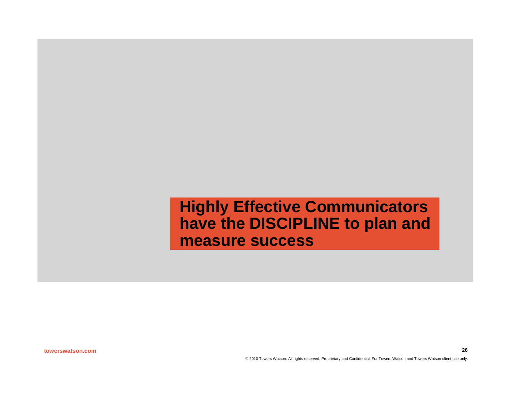**Highly Effective Communicators have the DISCIPLINE to plan and measure success**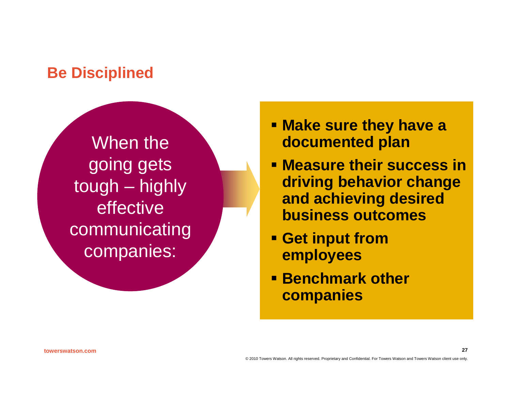## **Be Disciplined**

When the going gets tough – highly effective communicating companies:

- **Make sure they have a documented plan**
- **Measure their success in driving behavior change and achieving desired business outcomes**
- **Get input from employees**
- **Benchmark other companies**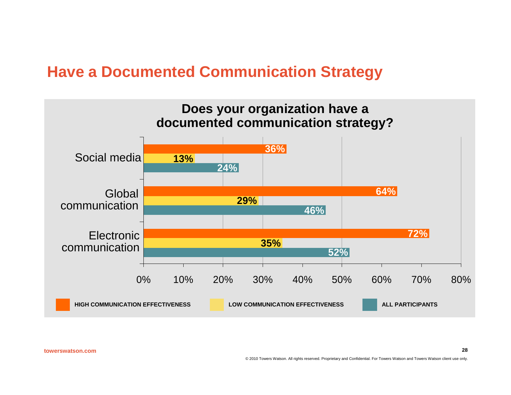#### **Have a Documented Communication Strategy**

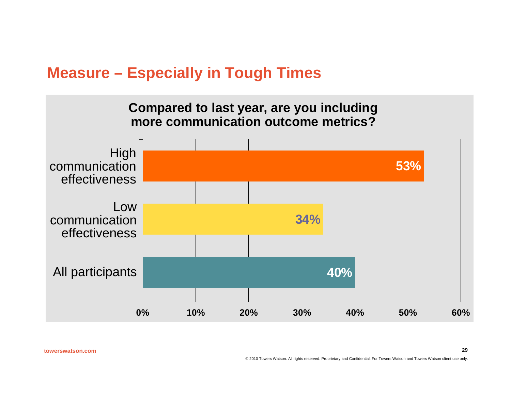#### **Measure – Especially in Tough Times**

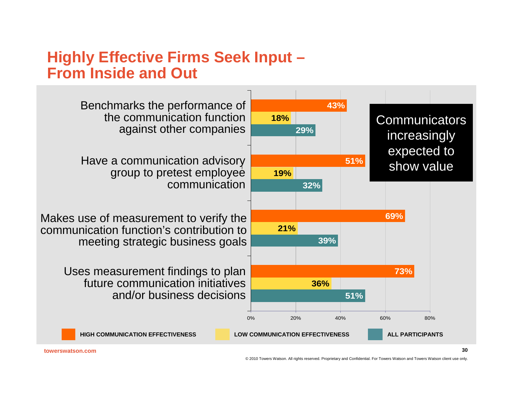#### **Highly Effective Firms Seek Input – From Inside and Out**

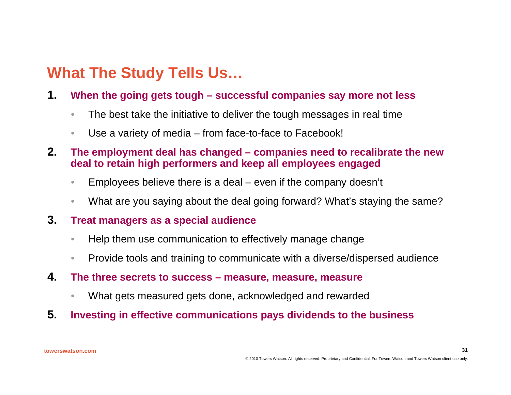## **What The Study Tells Us…**

- **1. When the going gets tough successful companies say more not less**
	- The best take the initiative to deliver the tough messages in real time
	- Use a variety of media from face-to-face to Facebook!
- **2. The employment deal has changed companies need to recalibrate the new deal to retain high performers and keep all employees engaged**
	- Employees believe there is a deal even if the company doesn't
	- What are you saying about the deal going forward? What's staying the same?
- **3. Treat managers as a special audience**
	- Help them use communication to effectively manage change
	- Provide tools and training to communicate with a diverse/dispersed audience
- **4. The three secrets to success measure, measure, measure**
	- What gets measured gets done, acknowledged and rewarded
- **5. Investing in effective communications pays dividends to the business**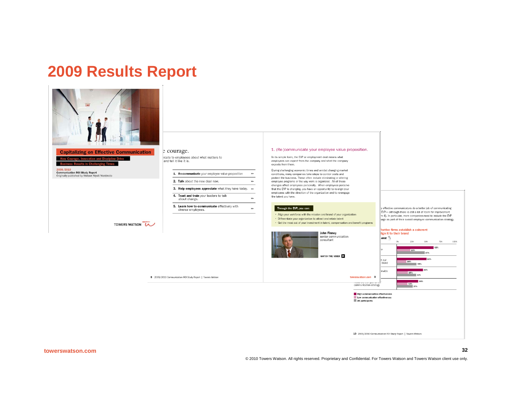#### **2009 Results Report**



#### **Capitalizing on Effective Communication**

TOWERS WATSON

How Courage, Innovation and Discipline Drive

2009/201 **Communication ROI Study Report**<br>Originally published by Watson Wyatt Worldwide

#### e courage.

icate to employees about what matters to<br>and tell it like it is.

8 2009/2010 Communication ROI Study Report | Towers Watson

|  | Re-communicate your employee value proposition | $\rightarrow$ |
|--|------------------------------------------------|---------------|
|  | 2. Talk about the new deal now.                | $\rightarrow$ |

3. Help employees appreciate what they have today. >>

 $\rightarrow$ 

 $\rightarrow$ 

4. Trust and train your leaders to talk about change.

5. Learn how to communicate effectively with diverse employees.

#### 1. (Re-)communicate your employee value proposition.

In its simple form, the EVP or employment deal means what employees can expect from the company and what the company expects from them.

During challenging economic times and amidst changing market conditions, many companies take steps to control costs and protect the business. These often include eliminating or altering employee programs or the way work is organized. All of these changes affect employees personally. When employees perceive that the EVP is changing, you have an opportunity to re-align your employees with the direction of the organization and to re-engage the talent you have.

#### Through the EVP, you can:

· Align your workforce with the mission and brand of your organization

· Differentiate your organization to attract and retain talent

Get the most out of your investment in talent, compensation and benefit programs



effective communicators do a better job of communicating EVP-although there is still a lot of room for improvement e 4). In particular, more companies need to include the EVP age as part of their overall employee communication strategy.



10 2009/2010 Communication ROI Study Report | Towers Watson